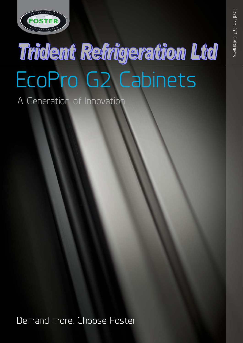

# **Trident Refrigeration Ltd** EcoPro G2 Cabinets

A Generation of Innovation

Demand more. Choose Foster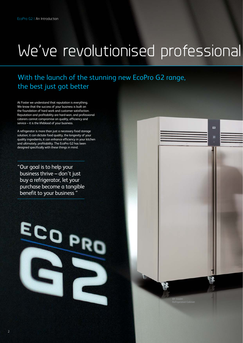## We've revolutionised professional

所

äž

## With the launch of the stunning new EcoPro G2 range, the best just got better

At Foster we understand that reputation is everything. We know that the success of your business is built on the foundation of hard work and customer satisfaction. Reputation and profitability are hard-won, and professional caterers cannot compromise on quality, efficiency and service – it is the lifeblood of your business.

A refrigerator is more than just a necessary food storage solution; it can dictate food quality, the longevity of your quality ingredients, it can enhance efficiency in your kitchen and ultimately, profitability. The EcoPro G2 has been designed specifically with these things in mind.

"Our goal is to help your business thrive – don't just buy a refrigerator, let your purchase become a tangible benefit to your business "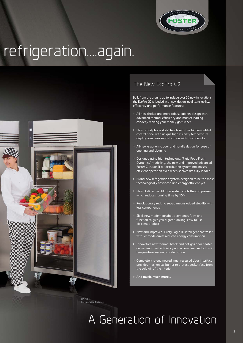

## refrigeration....again.



## The New EcoPro G2

Built from the ground up to include over 50 new innovations, the EcoPro G2 is loaded with new design, quality, reliability, efficiency and performance features:

- > All new thicker and more robust cabinet design with advanced thermal efficiency and market leading capacity making your money go further
- > New 'smartphone style' touch sensitive hidden-until-lit control panel with unique high visibility temperature display combines sophistication with functionality
- > All-new ergonomic door and handle design for ease of opening and cleaning
- > Designed using high technology: 'Fluid Food-Fresh Dynamics' modelling, the new and improved advanced Foster Circulair II air distribution system maximises efficient operation even when shelves are fully loaded
- > Brand-new refrigeration system designed to be the most technologically advanced and energy efficient yet
- > New 'Airlines' ventilation system cools the compressor which reduces running time by 15%
- > Revolutionary racking set-up means added stability with less componentry
- > Sleek new modern aesthetic combines form and function to give you a great looking, easy to use, efficient product
- > New and improved 'Fuzzy Logic II' intelligent controller with 'e' mode drives reduced energy consumption
- > Innovative new thermal break and hot gas door heater deliver improved efficiency and a combined reduction in temperature loss and condensation
- > Completely re-engineered inner recessed door interface provides mechanical barrier to protect gasket face from the cold air of the interior
- **> And much, much more...**

A Generation of Innovation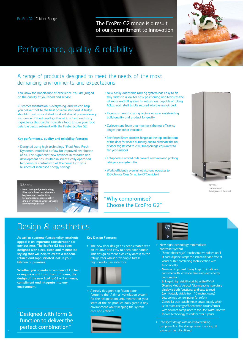The EcoPro G2 range is a result of our commitment to innovation



## Performance, quality & reliability

## A range of products designed to meet the needs of the most demanding environments and expectations

You know the importance of excellence. You are judged on the quality of your food and service.

Customer satisfaction is everything, and we can help you deliver that to the best possible standard. A fridge shouldn't just store chilled food – it should preserve every last ounce of food quality, after all it is fresh and tasty ingredients that create incredible food. Ensure your food gets the best treatment with the Foster EcoPro G2.

#### **Key performance, quality and reliability features:**

> Designed using high-technology 'Fluid Food-Fresh Dynamics' modelled airflow for improved distribution of air. This significant new advance in research and development has resulted in scientifically optimised temperature control with all the benefits to your business of increased energy savings.

- > New easily adaptable racking system has easy to fit tray slides to allow for easy positioning and features the ultimate anti-tilt system for robustness. Capable of taking 40kgs, each shelf is fully secured into the rear air duct
- > Rigorous manufacturing regime ensures outstanding build quality and product longevity
- > Cyclopentane foam that maintains thermal efficiency longer than other insulation
- > Reinforced 5mm stainless hinges at the top and bottom of the door for added durability and to eliminate the risk of door sag (tested to 250,000 openings, equivalent to ten years usage)
- > Cataphoresis coated coils prevent corrosion and prolong refrigeration system life
- > Works efficiently even in hot kitchens, operates to ISO Climate Class 5 - up to 43˚C ambient



**EP700U Undermount Refrigerated Cabinet**

**> New cutting edge technology fibre optic laser provides more hygienic and precise joins for enhanced product quality and performance, whilst virtually eliminating wastage** Quick fact:



## "Why compromise? Choose the EcoPro G2"

## Design & aesthetics

>

**As well as supreme functionality, aesthetic appeal is an important consideration for any business. The EcoPro G2 has been designed with sleek, clean and minimalist styling that will help to create a modern, refined and sophisticated look in your kitchen or premises.** 

**Whether you operate a commercial kitchen or require a unit to sit front of house, the design of the new EcoPro G2 will enhance, compliment and integrate into any environment.** 

"Designed with form & function to deliver the perfect combination"

#### **Key Design Features:**

> The new door design has been created with an intuitive and easy to open door handle. This design element aids easy access to the refrigerator whilst providing a tactile high-quality user interface



> A newly designed top fascia panel featuring the 'Airlines' ventilation system for the refrigeration unit, means that your state-of-the-art product looks great in any environment whilst keeping the system cool and efficient





- > New high technology minimalistic controller system
	- 'Smartphone style' touch sensitive hidden-until lit control panel keeps the screen flat and free of visual clutter, combining sophistication with functionality
	- New and improved 'Fuzzy Logic II' intelligent controller with 'e' mode drives reduced energy consumption
- Enlarged high visibility bright white PMVA (Passive Matrix Vertical Alignment) temperature display is both functional and easy to read (comfortably visible from 10 metres away)
- Low voltage control panel for safety Controller uses switch mode power supply which is far more energy efficient than a transformer with advance compliance to the One Watt Directive

Proven technology tested for over 5 years

> Intelligent design with no visible working components in the storage area - meaning all space can be fully utilised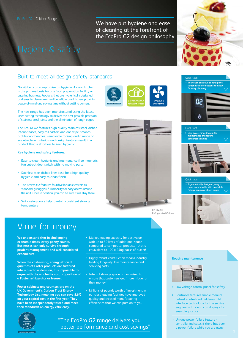We have put hygiene and ease of cleaning at the forefront of the EcoPro G2 design philosophy

## Hygiene & safety

## Built to meet all design safety standards

No kitchen can compromise on hygiene. A clean kitchen is the primary basis for any food preparation facility or catering business. Products that are hygienically designed and easy to clean are a real benefit in any kitchen, providing peace-of-mind and saving time without cutting corners.

The new range has been manufactured using the latest laser-cutting technology to deliver the best possible precision of stainless steel joints and the elimination of rough edges.

The EcoPro G2 features high quality stainless steel, dished interior bases, easy-roll castors and one wipe, smooth profile door handles. Removable racking and a range of easy-to-clean materials and design features result in a product that is effortless to keep hygienic.

#### **Key hygiene and safety features:**

- > Easy-to-clean, hygienic and maintenance-free magnetic fan cut-out door switch with no moving parts
- > Stainless steel dished liner base for a high quality, hygienic and easy to clean finish
- > The EcoPro G2 features four/five lockable castors as standard, giving you full mobility for easy access around the unit. Once in position, you can be sure it will stay there!
- > Self closing doors help to retain consistent storage temperature







## **> Easy access hinged fascia for maintenance and routine condenser cleaning** Quick fact:



## **> Ergonomically designed, easy to clean door handle with no visible fixings, seams or sharp edges** Quick fact:



## Value for money

**We understand that in challenging economic times, every penny counts. Businesses can only survive through prudent management and well-considered expenditure.** 

**When the cost-saving, energy-efficient qualities of Foster products are factored into a purchase decision, it is impossible to argue with the whole-life cost proposition of a Foster refrigerator or freezer.** 

**Foster cabinets and counters are on the UK Government's Carbon Trust Energy Technology List, meaning you can save 8.6% on your capital cost in the first year. They have been independently tested and meet their standards on energy efficiency.**

- > Market leading capacity for best value with up to 30 litres of additional space compared to competitor products - that's equivalent to 100 x 250g packs of butter!
- > Highly robust construction means industry leading longevity, low maintenance and servicing costs
- > Internal storage space is maximised to ensure that customers get 'more fridge for their money'
- > Millions of pounds worth of investment in our class leading facilities have improved quality and created manufacturing efficiencies that we can pass on to you



"The EcoPro G2 range delivers you better performance and cost savings" **Routine maintenance** 



- > Low voltage control panel for safety
- > Controller features simple manual defrost control and hidden-until-lit interface technology for the service engineer with clear icon displays for easy diagnostics
- > Unique power failure feature controller indicates if there has been a power failure while you are away

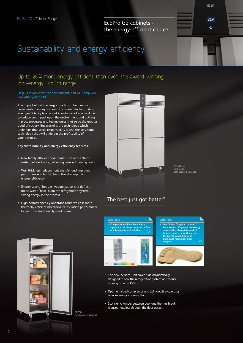EcoPro G2 cabinets the energy-efficient choice

## Sustainability and energy efficiency

## Up to 20% more energy efficient than even the award-winning low-energy EcoPro range

#### Help us to look after the environment, and we'll help you look after your profit.

The impact of rising energy costs has to be a major consideration in any successful business. Understanding energy-efficiency is all about knowing what can be done to reduce our impact upon the environment and putting in place processes and technologies that serve the greater good of society. But crucially, the technology which underpins that social responsibility is also the very same technology that will underpin the profitability of your business.

#### **Key sustainability and energy-efficiency features:**

- > New highly efficient door heater uses waste 'heat' instead of electricity, delivering reduced running costs
- > Wall thickness reduces heat transfer and improves performance in hot kitchens, thereby improving energy efficiency
- > Energy-saving 'hot gas' vapourisation and defrost utilise waste 'heat' from the refrigeration system, saving energy in the process
- > High-performance Cylopentane foam which is more thermally efficient maintains its insulation performance longer than traditionally used foams



**EP1440H4 Half Door Refrigerated Cabinet** e e

O2  $\ddot{\bullet}$ 

### "The best just got better"





- > The new 'Airlines' unit cover is aerodynamically designed to cool the refrigeration system and reduce running time by 15%
- > Optimum sized compressor and twin circuit evaporator reduces energy consumption
- > Static air chamber between door and thermal break reduces heat loss through the door gasket

**Refrigerated Cabinet**



**> Low Carbon footprint - 'natural' Hydrocarbon refrigerant, low energy** 

Quick fact:

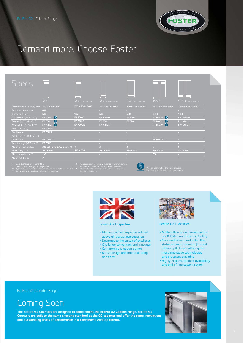

## Demand more. Choose Foster

| <b>SDECS</b>                                             |                              |                  |                               |                               |                              |                                |
|----------------------------------------------------------|------------------------------|------------------|-------------------------------|-------------------------------|------------------------------|--------------------------------|
|                                                          | 700                          | 700 HALF DOOR    | 700 UNDERMOUNT                | 820 BROADWAY                  | 1440                         | 1440 UNDERMOUNT                |
| Dimensions (w x d x h) mm                                | 700 x 820 x 2080             | 700 x 820 x 2080 | 700 x 865 x 1980 <sup>1</sup> | 820 x 745 x 1980 <sup>1</sup> | 1440 x 820 x 2080            | 1440 x 865 x 1980 <sup>s</sup> |
| Pass thru depth mm                                       | 840                          | a.               | <b>All Co</b>                 | <b>Allen</b>                  | a.                           | <b>Service</b>                 |
| Capacity (litres)                                        | 600                          | 600              | 600                           | 600                           | 1350                         | 1350                           |
| Refrigerator (+1'C/+4'C)                                 | $\bullet$<br><b>EP 700H</b>  | <b>EP 700H2</b>  | <b>EP 700HU</b>               | <b>EP 820H</b>                | $\bullet$<br><b>EP 1440H</b> | <b>EP 1440HU</b>               |
| Freezer (-18°C/-21°C)***                                 | $\bullet$<br><b>EP 700L</b>  | <b>EP 700L2</b>  | <b>EP 700LU</b>               | <b>EP 820L</b>                | $\bullet$<br><b>EP 1440L</b> | <b>EP 1440LU</b>               |
| Meat/chill (-2°C/+2°C)***                                | $\bullet$<br><b>EP 700M</b>  | <b>EP 700M2</b>  | <b>EP 700MU</b>               | $\sim$                        | $\bullet$<br><b>EP 1440M</b> | <b>EP 1440MU</b>               |
| Fish (-1'C/+1'C)                                         | EP 700F §                    | A.               | <b>College</b>                | $\sim$                        | $\sim$                       | $\sim$                         |
| Dual temp.                                               | <b>EP 700HL</b>              |                  | o                             | <b>COLL</b>                   | $\sim$                       | a.                             |
| $(+1^{\circ}C/+4^{\circ}C \& -18^{\circ}C/-21^{\circ}C)$ |                              | $\sim$           | <b>COL</b>                    | ×                             | $\sim$                       | a.                             |
| Glass Door*                                              | EP 700G****                  | A.               | <b>College</b>                | <b>A</b>                      | EP 1440G****                 | <b>ALC</b>                     |
| Pass through (+1'C/+4'C)                                 | <b>EP 700P</b>               | a.               | <b>College</b>                | <b>A</b>                      | $\sim$                       | $\sim$                         |
| No. of GN 2/1 shelves                                    | 3 (Dual Temp & 1/2 doors: 4) | $\frac{1}{4}$    | $\overline{3}$                | 3                             | 6 <sup>1</sup>               | 6                              |
| Shelf size (mm)                                          | 530 x 650                    | 530 x 650        | $530 \times 650$              | 530 x 650                     | 530 x 650                    | 530 x 650                      |
| No. of wine bottles**                                    | 140                          | $\sim$           | $\sim 10$                     | A.                            | 280                          | $\sim$                         |
| No. of fish boxes                                        | $\overline{7}$               | A.               | <b>COLLECTION</b>             | a.                            | $\sim$                       | <b>All</b>                     |



**EcoPro G2 | Expertise**

- > Highly-qualified, experienced and above all, passionate designers
- > Dedicated to the pursuit of excellence > Challenge convention and innovate
- > Compromise is not an option
- > British design and manufacturing at its best



#### **EcoPro G2 | Facilities**

- > Multi-million pound investment in our British manufacturing facility
- > New world-class production line, state-of-the-art foaming jigs and a fibre optic laser - utilising the most innovative technologies and processes available
- > Highly-efficient product availability and end-of-line customisation

### EcoPro G2 | Counter Range

## Coming Soon

**The EcoPro G2 Counters are designed to complement the EcoPro G2 Cabinet range. EcoPro G2 Counters are built to the same exacting standard as the G2 cabinets and offer the same innovations and outstanding levels of performance in a convenient worktop format.**